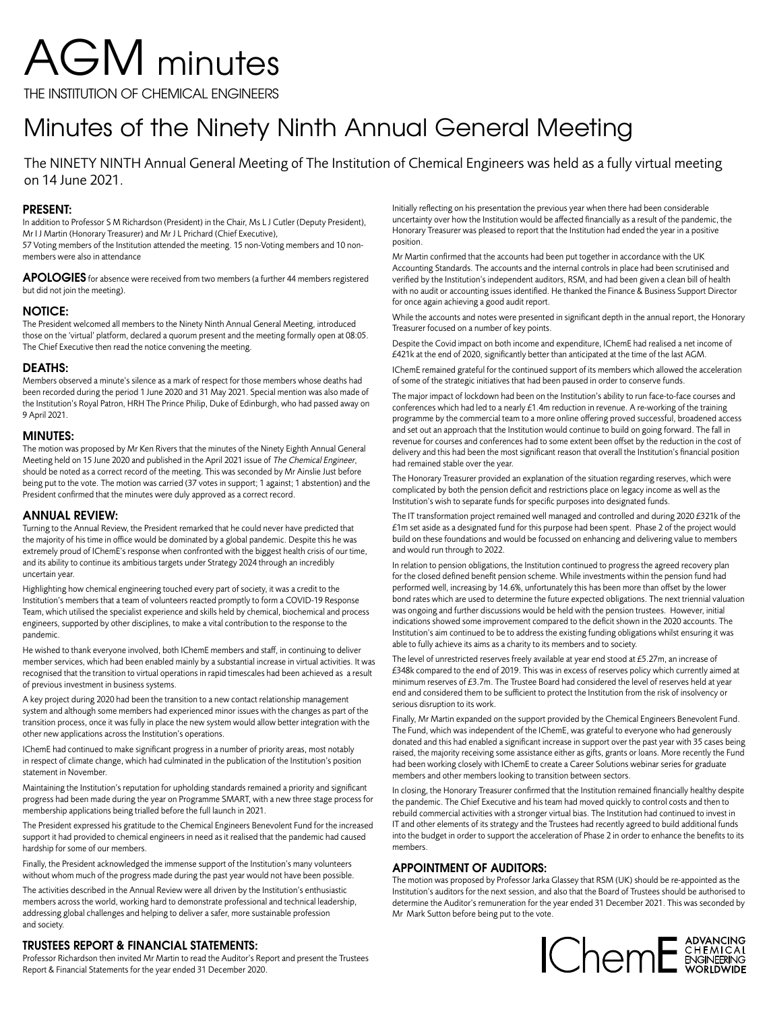# AGM minutes

THE INSTITUTION OF CHEMICAL ENGINEERS

# Minutes of the Ninety Ninth Annual General Meeting

The NINETY NINTH Annual General Meeting of The Institution of Chemical Engineers was held as a fully virtual meeting on 14 June 2021.

# **PRESENT:**

In addition to Professor S M Richardson (President) in the Chair, Ms L J Cutler (Deputy President), Mr I J Martin (Honorary Treasurer) and Mr J L Prichard (Chief Executive),

57 Voting members of the Institution attended the meeting. 15 non-Voting members and 10 nonmembers were also in attendance

**APOLOGIES** for absence were received from two members (a further 44 members registered but did not join the meeting).

# **NOTICE:**

The President welcomed all members to the Ninety Ninth Annual General Meeting, introduced those on the 'virtual' platform, declared a quorum present and the meeting formally open at 08:05. The Chief Executive then read the notice convening the meeting.

# **DEATHS:**

Members observed a minute's silence as a mark of respect for those members whose deaths had been recorded during the period 1 June 2020 and 31 May 2021. Special mention was also made of the Institution's Royal Patron, HRH The Prince Philip, Duke of Edinburgh, who had passed away on 9 April 2021.

# **MINUTES:**

The motion was proposed by Mr Ken Rivers that the minutes of the Ninety Eighth Annual General Meeting held on 15 June 2020 and published in the April 2021 issue of The Chemical Engineer, should be noted as a correct record of the meeting. This was seconded by Mr Ainslie Just before being put to the vote. The motion was carried (37 votes in support; 1 against; 1 abstention) and the President confirmed that the minutes were duly approved as a correct record.

# **ANNUAL REVIEW:**

Turning to the Annual Review, the President remarked that he could never have predicted that the majority of his time in office would be dominated by a global pandemic. Despite this he was extremely proud of IChemE's response when confronted with the biggest health crisis of our time, and its ability to continue its ambitious targets under Strategy 2024 through an incredibly uncertain year.

Highlighting how chemical engineering touched every part of society, it was a credit to the Institution's members that a team of volunteers reacted promptly to form a COVID-19 Response Team, which utilised the specialist experience and skills held by chemical, biochemical and process engineers, supported by other disciplines, to make a vital contribution to the response to the pandemic.

He wished to thank everyone involved, both IChemE members and staff, in continuing to deliver member services, which had been enabled mainly by a substantial increase in virtual activities. It was recognised that the transition to virtual operations in rapid timescales had been achieved as a result of previous investment in business systems.

A key project during 2020 had been the transition to a new contact relationship management system and although some members had experienced minor issues with the changes as part of the transition process, once it was fully in place the new system would allow better integration with the other new applications across the Institution's operations.

IChemE had continued to make significant progress in a number of priority areas, most notably in respect of climate change, which had culminated in the publication of the Institution's position statement in November.

Maintaining the Institution's reputation for upholding standards remained a priority and significant progress had been made during the year on Programme SMART, with a new three stage process for membership applications being trialled before the full launch in 2021.

The President expressed his gratitude to the Chemical Engineers Benevolent Fund for the increased support it had provided to chemical engineers in need as it realised that the pandemic had caused hardship for some of our members.

Finally, the President acknowledged the immense support of the Institution's many volunteers without whom much of the progress made during the past year would not have been possible.

The activities described in the Annual Review were all driven by the Institution's enthusiastic members across the world, working hard to demonstrate professional and technical leadership, addressing global challenges and helping to deliver a safer, more sustainable profession and society.

# **TRUSTEES REPORT & FINANCIAL STATEMENTS:**

Professor Richardson then invited Mr Martin to read the Auditor's Report and present the Trustees Report & Financial Statements for the year ended 31 December 2020.

Initially reflecting on his presentation the previous year when there had been considerable uncertainty over how the Institution would be affected financially as a result of the pandemic, the Honorary Treasurer was pleased to report that the Institution had ended the year in a positive position.

Mr Martin confirmed that the accounts had been put together in accordance with the UK Accounting Standards. The accounts and the internal controls in place had been scrutinised and verified by the Institution's independent auditors, RSM, and had been given a clean bill of health with no audit or accounting issues identified. He thanked the Finance & Business Support Director for once again achieving a good audit report.

While the accounts and notes were presented in significant depth in the annual report, the Honorary Treasurer focused on a number of key points.

Despite the Covid impact on both income and expenditure, IChemE had realised a net income of £421k at the end of 2020, significantly better than anticipated at the time of the last AGM.

IChemE remained grateful for the continued support of its members which allowed the acceleration of some of the strategic initiatives that had been paused in order to conserve funds.

The major impact of lockdown had been on the Institution's ability to run face-to-face courses and conferences which had led to a nearly £1.4m reduction in revenue. A re-working of the training programme by the commercial team to a more online offering proved successful, broadened access and set out an approach that the Institution would continue to build on going forward. The fall in revenue for courses and conferences had to some extent been offset by the reduction in the cost of delivery and this had been the most significant reason that overall the Institution's financial position had remained stable over the year.

The Honorary Treasurer provided an explanation of the situation regarding reserves, which were complicated by both the pension deficit and restrictions place on legacy income as well as the Institution's wish to separate funds for specific purposes into designated funds.

The IT transformation project remained well managed and controlled and during 2020 £321k of the £1m set aside as a designated fund for this purpose had been spent. Phase 2 of the project would build on these foundations and would be focussed on enhancing and delivering value to members and would run through to 2022.

In relation to pension obligations, the Institution continued to progress the agreed recovery plan for the closed defined benefit pension scheme. While investments within the pension fund had performed well, increasing by 14.6%, unfortunately this has been more than offset by the lower bond rates which are used to determine the future expected obligations. The next triennial valuation was ongoing and further discussions would be held with the pension trustees. However, initial indications showed some improvement compared to the deficit shown in the 2020 accounts. The Institution's aim continued to be to address the existing funding obligations whilst ensuring it was able to fully achieve its aims as a charity to its members and to society.

The level of unrestricted reserves freely available at year end stood at £5.27m, an increase of £348k compared to the end of 2019. This was in excess of reserves policy which currently aimed at minimum reserves of £3.7m. The Trustee Board had considered the level of reserves held at year end and considered them to be sufficient to protect the Institution from the risk of insolvency or serious disruption to its work.

Finally, Mr Martin expanded on the support provided by the Chemical Engineers Benevolent Fund. The Fund, which was independent of the IChemE, was grateful to everyone who had generously donated and this had enabled a significant increase in support over the past year with 35 cases being raised, the majority receiving some assistance either as gifts, grants or loans. More recently the Fund had been working closely with IChemE to create a Career Solutions webinar series for graduate members and other members looking to transition between sectors.

In closing, the Honorary Treasurer confirmed that the Institution remained financially healthy despite the pandemic. The Chief Executive and his team had moved quickly to control costs and then to rebuild commercial activities with a stronger virtual bias. The Institution had continued to invest in IT and other elements of its strategy and the Trustees had recently agreed to build additional funds into the budget in order to support the acceleration of Phase 2 in order to enhance the benefits to its members.

# **APPOINTMENT OF AUDITORS:**

The motion was proposed by Professor Jarka Glassey that RSM (UK) should be re-appointed as the Institution's auditors for the next session, and also that the Board of Trustees should be authorised to determine the Auditor's remuneration for the year ended 31 December 2021. This was seconded by Mr Mark Sutton before being put to the vote.